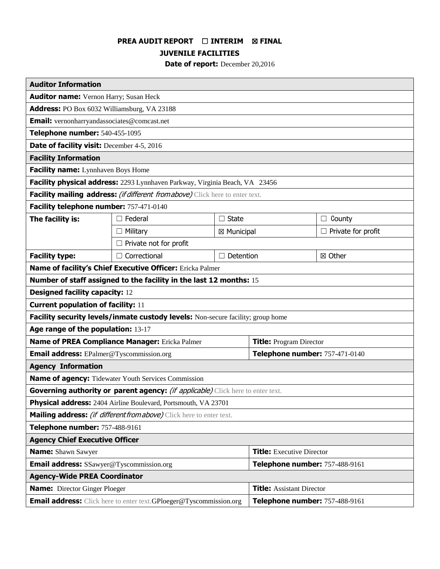# **PREA AUDIT REPORT** ☐ **INTERIM** ☒ **FINAL**

**JUVENILE FACILITIES**

**Date of report:** December 20,2016

| <b>Auditor Information</b>                                                             |                               |                |                                  |                           |
|----------------------------------------------------------------------------------------|-------------------------------|----------------|----------------------------------|---------------------------|
| <b>Auditor name:</b> Vernon Harry; Susan Heck                                          |                               |                |                                  |                           |
| Address: PO Box 6032 Williamsburg, VA 23188                                            |                               |                |                                  |                           |
| <b>Email:</b> vernonharryandassociates@comcast.net                                     |                               |                |                                  |                           |
| Telephone number: 540-455-1095                                                         |                               |                |                                  |                           |
| <b>Date of facility visit:</b> December 4-5, 2016                                      |                               |                |                                  |                           |
| <b>Facility Information</b>                                                            |                               |                |                                  |                           |
| Facility name: Lynnhaven Boys Home                                                     |                               |                |                                  |                           |
| Facility physical address: 2293 Lynnhaven Parkway, Virginia Beach, VA 23456            |                               |                |                                  |                           |
| Facility mailing address: (if different from above) Click here to enter text.          |                               |                |                                  |                           |
| Facility telephone number: 757-471-0140                                                |                               |                |                                  |                           |
| The facility is:                                                                       | $\Box$ Federal                | $\Box$ State   |                                  | County<br>$\Box$          |
|                                                                                        | $\Box$ Military               | ⊠ Municipal    |                                  | $\Box$ Private for profit |
|                                                                                        | $\Box$ Private not for profit |                |                                  |                           |
| <b>Facility type:</b>                                                                  | $\Box$ Correctional           | Detention<br>П |                                  | ⊠ Other                   |
| Name of facility's Chief Executive Officer: Ericka Palmer                              |                               |                |                                  |                           |
| Number of staff assigned to the facility in the last 12 months: 15                     |                               |                |                                  |                           |
| <b>Designed facility capacity: 12</b>                                                  |                               |                |                                  |                           |
| <b>Current population of facility: 11</b>                                              |                               |                |                                  |                           |
| Facility security levels/inmate custody levels: Non-secure facility; group home        |                               |                |                                  |                           |
| Age range of the population: 13-17                                                     |                               |                |                                  |                           |
| Name of PREA Compliance Manager: Ericka Palmer                                         |                               |                | <b>Title:</b> Program Director   |                           |
| <b>Email address:</b> EPalmer@Tyscommission.org                                        |                               |                | Telephone number: 757-471-0140   |                           |
| <b>Agency Information</b>                                                              |                               |                |                                  |                           |
| Name of agency: Tidewater Youth Services Commission                                    |                               |                |                                  |                           |
| Governing authority or parent agency: <i>(if applicable)</i> Click here to enter text. |                               |                |                                  |                           |
| <b>Physical address:</b> 2404 Airline Boulevard, Portsmouth, VA 23701                  |                               |                |                                  |                           |
| Mailing address: <i>(if different from above)</i> Click here to enter text.            |                               |                |                                  |                           |
| Telephone number: 757-488-9161                                                         |                               |                |                                  |                           |
| <b>Agency Chief Executive Officer</b>                                                  |                               |                |                                  |                           |
| <b>Name:</b> Shawn Sawyer                                                              |                               |                | <b>Title:</b> Executive Director |                           |
| <b>Email address:</b> SSawyer@Tyscommission.org                                        |                               |                | Telephone number: 757-488-9161   |                           |
| <b>Agency-Wide PREA Coordinator</b>                                                    |                               |                |                                  |                           |
| <b>Name:</b> Director Ginger Ploeger                                                   |                               |                | <b>Title: Assistant Director</b> |                           |
| <b>Email address:</b> Click here to enter text. GPloeger@Tyscommission.org             |                               |                | Telephone number: 757-488-9161   |                           |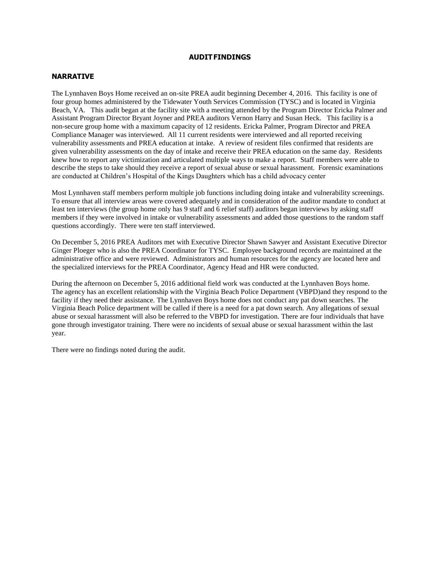#### **AUDITFINDINGS**

### **NARRATIVE**

The Lynnhaven Boys Home received an on-site PREA audit beginning December 4, 2016. This facility is one of four group homes administered by the Tidewater Youth Services Commission (TYSC) and is located in Virginia Beach, VA. This audit began at the facility site with a meeting attended by the Program Director Ericka Palmer and Assistant Program Director Bryant Joyner and PREA auditors Vernon Harry and Susan Heck. This facility is a non-secure group home with a maximum capacity of 12 residents. Ericka Palmer, Program Director and PREA Compliance Manager was interviewed. All 11 current residents were interviewed and all reported receiving vulnerability assessments and PREA education at intake. A review of resident files confirmed that residents are given vulnerability assessments on the day of intake and receive their PREA education on the same day. Residents knew how to report any victimization and articulated multiple ways to make a report. Staff members were able to describe the steps to take should they receive a report of sexual abuse or sexual harassment. Forensic examinations are conducted at Children's Hospital of the Kings Daughters which has a child advocacy center

Most Lynnhaven staff members perform multiple job functions including doing intake and vulnerability screenings. To ensure that all interview areas were covered adequately and in consideration of the auditor mandate to conduct at least ten interviews (the group home only has 9 staff and 6 relief staff) auditors began interviews by asking staff members if they were involved in intake or vulnerability assessments and added those questions to the random staff questions accordingly. There were ten staff interviewed.

On December 5, 2016 PREA Auditors met with Executive Director Shawn Sawyer and Assistant Executive Director Ginger Ploeger who is also the PREA Coordinator for TYSC. Employee background records are maintained at the administrative office and were reviewed. Administrators and human resources for the agency are located here and the specialized interviews for the PREA Coordinator, Agency Head and HR were conducted.

During the afternoon on December 5, 2016 additional field work was conducted at the Lynnhaven Boys home. The agency has an excellent relationship with the Virginia Beach Police Department (VBPD)and they respond to the facility if they need their assistance. The Lynnhaven Boys home does not conduct any pat down searches. The Virginia Beach Police department will be called if there is a need for a pat down search. Any allegations of sexual abuse or sexual harassment will also be referred to the VBPD for investigation. There are four individuals that have gone through investigator training. There were no incidents of sexual abuse or sexual harassment within the last year.

There were no findings noted during the audit.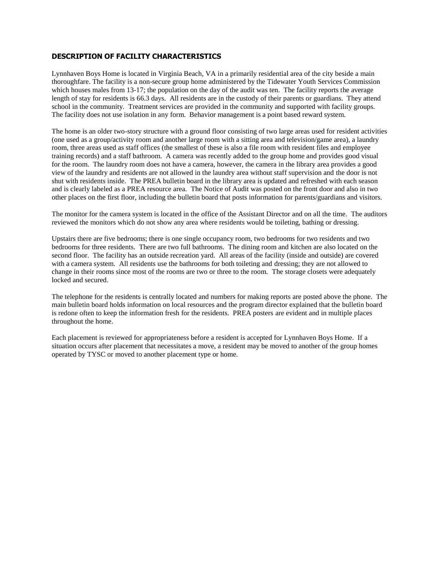### **DESCRIPTION OF FACILITY CHARACTERISTICS**

Lynnhaven Boys Home is located in Virginia Beach, VA in a primarily residential area of the city beside a main thoroughfare. The facility is a non-secure group home administered by the Tidewater Youth Services Commission which houses males from 13-17; the population on the day of the audit was ten. The facility reports the average length of stay for residents is 66.3 days. All residents are in the custody of their parents or guardians. They attend school in the community. Treatment services are provided in the community and supported with facility groups. The facility does not use isolation in any form. Behavior management is a point based reward system.

The home is an older two-story structure with a ground floor consisting of two large areas used for resident activities (one used as a group/activity room and another large room with a sitting area and television/game area), a laundry room, three areas used as staff offices (the smallest of these is also a file room with resident files and employee training records) and a staff bathroom. A camera was recently added to the group home and provides good visual for the room. The laundry room does not have a camera, however, the camera in the library area provides a good view of the laundry and residents are not allowed in the laundry area without staff supervision and the door is not shut with residents inside. The PREA bulletin board in the library area is updated and refreshed with each season and is clearly labeled as a PREA resource area. The Notice of Audit was posted on the front door and also in two other places on the first floor, including the bulletin board that posts information for parents/guardians and visitors.

The monitor for the camera system is located in the office of the Assistant Director and on all the time. The auditors reviewed the monitors which do not show any area where residents would be toileting, bathing or dressing.

Upstairs there are five bedrooms; there is one single occupancy room, two bedrooms for two residents and two bedrooms for three residents. There are two full bathrooms. The dining room and kitchen are also located on the second floor. The facility has an outside recreation yard. All areas of the facility (inside and outside) are covered with a camera system. All residents use the bathrooms for both toileting and dressing; they are not allowed to change in their rooms since most of the rooms are two or three to the room. The storage closets were adequately locked and secured.

The telephone for the residents is centrally located and numbers for making reports are posted above the phone. The main bulletin board holds information on local resources and the program director explained that the bulletin board is redone often to keep the information fresh for the residents. PREA posters are evident and in multiple places throughout the home.

Each placement is reviewed for appropriateness before a resident is accepted for Lynnhaven Boys Home. If a situation occurs after placement that necessitates a move, a resident may be moved to another of the group homes operated by TYSC or moved to another placement type or home.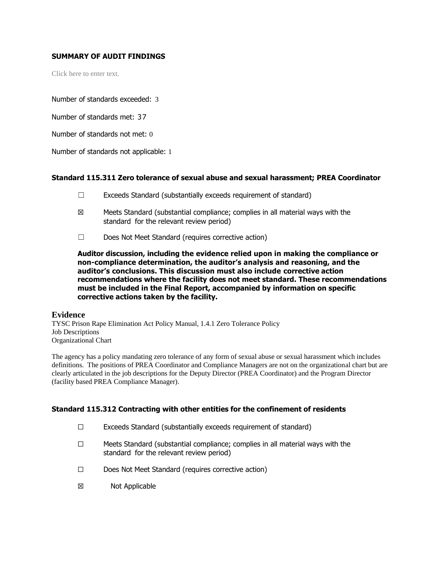## **SUMMARY OF AUDIT FINDINGS**

Click here to enter text.

Number of standards exceeded: 3

Number of standards met: 37

Number of standards not met: 0

Number of standards not applicable: 1

### **Standard 115.311 Zero tolerance of sexual abuse and sexual harassment; PREA Coordinator**

- ☐ Exceeds Standard (substantially exceeds requirement of standard)
- $\boxtimes$  Meets Standard (substantial compliance; complies in all material ways with the standard for the relevant review period)
- ☐ Does Not Meet Standard (requires corrective action)

**Auditor discussion, including the evidence relied upon in making the compliance or non-compliance determination, the auditor's analysis and reasoning, and the auditor's conclusions. This discussion must also include corrective action recommendations where the facility does not meet standard. These recommendations must be included in the Final Report, accompanied by information on specific corrective actions taken by the facility.**

#### **Evidence**

TYSC Prison Rape Elimination Act Policy Manual, 1.4.1 Zero Tolerance Policy Job Descriptions Organizational Chart

The agency has a policy mandating zero tolerance of any form of sexual abuse or sexual harassment which includes definitions. The positions of PREA Coordinator and Compliance Managers are not on the organizational chart but are clearly articulated in the job descriptions for the Deputy Director (PREA Coordinator) and the Program Director (facility based PREA Compliance Manager).

## **Standard 115.312 Contracting with other entities for the confinement of residents**

- ☐ Exceeds Standard (substantially exceeds requirement of standard)
- $\Box$  Meets Standard (substantial compliance; complies in all material ways with the standard for the relevant review period)
- ☐ Does Not Meet Standard (requires corrective action)
- ☒ Not Applicable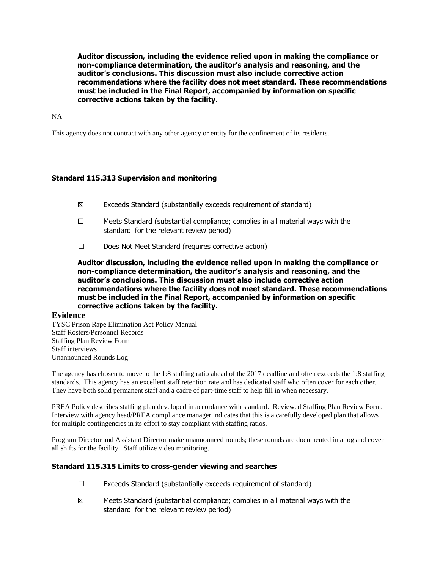NA

This agency does not contract with any other agency or entity for the confinement of its residents.

## **Standard 115.313 Supervision and monitoring**

- ☒ Exceeds Standard (substantially exceeds requirement of standard)
- ☐ Meets Standard (substantial compliance; complies in all material ways with the standard for the relevant review period)
- ☐ Does Not Meet Standard (requires corrective action)

**Auditor discussion, including the evidence relied upon in making the compliance or non-compliance determination, the auditor's analysis and reasoning, and the auditor's conclusions. This discussion must also include corrective action recommendations where the facility does not meet standard. These recommendations must be included in the Final Report, accompanied by information on specific corrective actions taken by the facility.**

#### **Evidence**

TYSC Prison Rape Elimination Act Policy Manual Staff Rosters/Personnel Records Staffing Plan Review Form Staff interviews Unannounced Rounds Log

The agency has chosen to move to the 1:8 staffing ratio ahead of the 2017 deadline and often exceeds the 1:8 staffing standards. This agency has an excellent staff retention rate and has dedicated staff who often cover for each other. They have both solid permanent staff and a cadre of part-time staff to help fill in when necessary.

PREA Policy describes staffing plan developed in accordance with standard. Reviewed Staffing Plan Review Form. Interview with agency head/PREA compliance manager indicates that this is a carefully developed plan that allows for multiple contingencies in its effort to stay compliant with staffing ratios.

Program Director and Assistant Director make unannounced rounds; these rounds are documented in a log and cover all shifts for the facility. Staff utilize video monitoring.

#### **Standard 115.315 Limits to cross-gender viewing and searches**

- $\Box$  Exceeds Standard (substantially exceeds requirement of standard)
- $\boxtimes$  Meets Standard (substantial compliance; complies in all material ways with the standard for the relevant review period)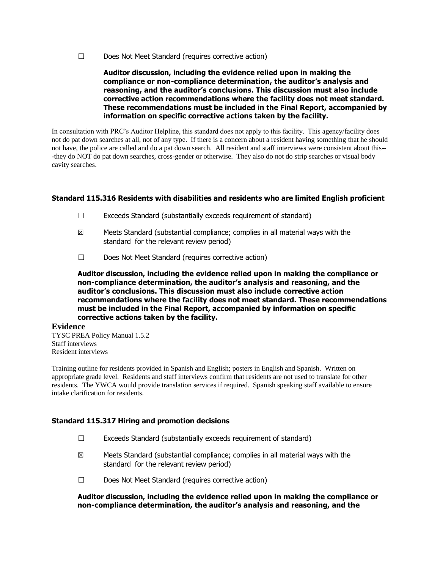☐ Does Not Meet Standard (requires corrective action)

### **Auditor discussion, including the evidence relied upon in making the compliance or non-compliance determination, the auditor's analysis and reasoning, and the auditor's conclusions. This discussion must also include corrective action recommendations where the facility does not meet standard. These recommendations must be included in the Final Report, accompanied by information on specific corrective actions taken by the facility.**

In consultation with PRC's Auditor Helpline, this standard does not apply to this facility. This agency/facility does not do pat down searches at all, not of any type. If there is a concern about a resident having something that he should not have, the police are called and do a pat down search. All resident and staff interviews were consistent about this-- -they do NOT do pat down searches, cross-gender or otherwise. They also do not do strip searches or visual body cavity searches.

## **Standard 115.316 Residents with disabilities and residents who are limited English proficient**

- $\Box$  Exceeds Standard (substantially exceeds requirement of standard)
- ☒ Meets Standard (substantial compliance; complies in all material ways with the standard for the relevant review period)
- ☐ Does Not Meet Standard (requires corrective action)

**Auditor discussion, including the evidence relied upon in making the compliance or non-compliance determination, the auditor's analysis and reasoning, and the auditor's conclusions. This discussion must also include corrective action recommendations where the facility does not meet standard. These recommendations must be included in the Final Report, accompanied by information on specific corrective actions taken by the facility.**

#### **Evidence**

TYSC PREA Policy Manual 1.5.2 Staff interviews Resident interviews

Training outline for residents provided in Spanish and English; posters in English and Spanish. Written on appropriate grade level. Residents and staff interviews confirm that residents are not used to translate for other residents. The YWCA would provide translation services if required. Spanish speaking staff available to ensure intake clarification for residents.

## **Standard 115.317 Hiring and promotion decisions**

- $\Box$  Exceeds Standard (substantially exceeds requirement of standard)
- $\boxtimes$  Meets Standard (substantial compliance; complies in all material ways with the standard for the relevant review period)
- ☐ Does Not Meet Standard (requires corrective action)

### **Auditor discussion, including the evidence relied upon in making the compliance or non-compliance determination, the auditor's analysis and reasoning, and the**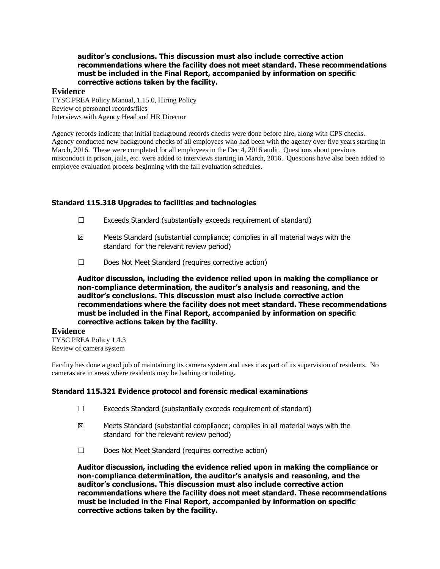**auditor's conclusions. This discussion must also include corrective action recommendations where the facility does not meet standard. These recommendations must be included in the Final Report, accompanied by information on specific corrective actions taken by the facility.**

#### **Evidence**

TYSC PREA Policy Manual, 1.15.0, Hiring Policy Review of personnel records/files Interviews with Agency Head and HR Director

Agency records indicate that initial background records checks were done before hire, along with CPS checks. Agency conducted new background checks of all employees who had been with the agency over five years starting in March, 2016. These were completed for all employees in the Dec 4, 2016 audit. Questions about previous misconduct in prison, jails, etc. were added to interviews starting in March, 2016. Questions have also been added to employee evaluation process beginning with the fall evaluation schedules.

## **Standard 115.318 Upgrades to facilities and technologies**

- $\Box$  Exceeds Standard (substantially exceeds requirement of standard)
- ☒ Meets Standard (substantial compliance; complies in all material ways with the standard for the relevant review period)
- ☐ Does Not Meet Standard (requires corrective action)

**Auditor discussion, including the evidence relied upon in making the compliance or non-compliance determination, the auditor's analysis and reasoning, and the auditor's conclusions. This discussion must also include corrective action recommendations where the facility does not meet standard. These recommendations must be included in the Final Report, accompanied by information on specific corrective actions taken by the facility.**

#### **Evidence**

TYSC PREA Policy 1.4.3 Review of camera system

Facility has done a good job of maintaining its camera system and uses it as part of its supervision of residents. No cameras are in areas where residents may be bathing or toileting.

## **Standard 115.321 Evidence protocol and forensic medical examinations**

- ☐ Exceeds Standard (substantially exceeds requirement of standard)
- ☒ Meets Standard (substantial compliance; complies in all material ways with the standard for the relevant review period)
- ☐ Does Not Meet Standard (requires corrective action)

**Auditor discussion, including the evidence relied upon in making the compliance or non-compliance determination, the auditor's analysis and reasoning, and the auditor's conclusions. This discussion must also include corrective action recommendations where the facility does not meet standard. These recommendations must be included in the Final Report, accompanied by information on specific corrective actions taken by the facility.**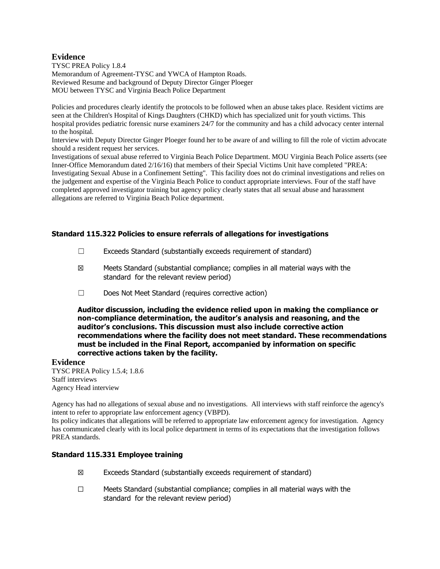## **Evidence**

TYSC PREA Policy 1.8.4 Memorandum of Agreement-TYSC and YWCA of Hampton Roads. Reviewed Resume and background of Deputy Director Ginger Ploeger MOU between TYSC and Virginia Beach Police Department

Policies and procedures clearly identify the protocols to be followed when an abuse takes place. Resident victims are seen at the Children's Hospital of Kings Daughters (CHKD) which has specialized unit for youth victims. This hospital provides pediatric forensic nurse examiners 24/7 for the community and has a child advocacy center internal to the hospital.

Interview with Deputy Director Ginger Ploeger found her to be aware of and willing to fill the role of victim advocate should a resident request her services.

Investigations of sexual abuse referred to Virginia Beach Police Department. MOU Virginia Beach Police asserts (see Inner-Office Memorandum dated 2/16/16) that members of their Special Victims Unit have completed "PREA: Investigating Sexual Abuse in a Confinement Setting". This facility does not do criminal investigations and relies on the judgement and expertise of the Virginia Beach Police to conduct appropriate interviews. Four of the staff have completed approved investigator training but agency policy clearly states that all sexual abuse and harassment allegations are referred to Virginia Beach Police department.

## **Standard 115.322 Policies to ensure referrals of allegations for investigations**

- $\Box$  Exceeds Standard (substantially exceeds requirement of standard)
- ☒ Meets Standard (substantial compliance; complies in all material ways with the standard for the relevant review period)
- ☐ Does Not Meet Standard (requires corrective action)

**Auditor discussion, including the evidence relied upon in making the compliance or non-compliance determination, the auditor's analysis and reasoning, and the auditor's conclusions. This discussion must also include corrective action recommendations where the facility does not meet standard. These recommendations must be included in the Final Report, accompanied by information on specific corrective actions taken by the facility.**

## **Evidence**

TYSC PREA Policy 1.5.4; 1.8.6 Staff interviews Agency Head interview

Agency has had no allegations of sexual abuse and no investigations. All interviews with staff reinforce the agency's intent to refer to appropriate law enforcement agency (VBPD).

Its policy indicates that allegations will be referred to appropriate law enforcement agency for investigation. Agency has communicated clearly with its local police department in terms of its expectations that the investigation follows PREA standards.

### **Standard 115.331 Employee training**

- ☒ Exceeds Standard (substantially exceeds requirement of standard)
- ☐ Meets Standard (substantial compliance; complies in all material ways with the standard for the relevant review period)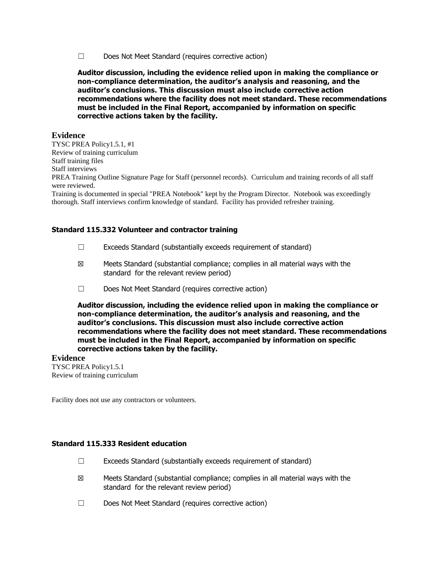☐ Does Not Meet Standard (requires corrective action)

**Auditor discussion, including the evidence relied upon in making the compliance or non-compliance determination, the auditor's analysis and reasoning, and the auditor's conclusions. This discussion must also include corrective action recommendations where the facility does not meet standard. These recommendations must be included in the Final Report, accompanied by information on specific corrective actions taken by the facility.**

### **Evidence**

TYSC PREA Policy1.5.1, #1 Review of training curriculum Staff training files Staff interviews PREA Training Outline Signature Page for Staff (personnel records). Curriculum and training records of all staff were reviewed.

Training is documented in special "PREA Notebook" kept by the Program Director. Notebook was exceedingly thorough. Staff interviews confirm knowledge of standard. Facility has provided refresher training.

#### **Standard 115.332 Volunteer and contractor training**

- ☐ Exceeds Standard (substantially exceeds requirement of standard)
- ☒ Meets Standard (substantial compliance; complies in all material ways with the standard for the relevant review period)
- ☐ Does Not Meet Standard (requires corrective action)

**Auditor discussion, including the evidence relied upon in making the compliance or non-compliance determination, the auditor's analysis and reasoning, and the auditor's conclusions. This discussion must also include corrective action recommendations where the facility does not meet standard. These recommendations must be included in the Final Report, accompanied by information on specific corrective actions taken by the facility.**

#### **Evidence**

TYSC PREA Policy1.5.1 Review of training curriculum

Facility does not use any contractors or volunteers.

### **Standard 115.333 Resident education**

- $\Box$  Exceeds Standard (substantially exceeds requirement of standard)
- ☒ Meets Standard (substantial compliance; complies in all material ways with the standard for the relevant review period)
- ☐ Does Not Meet Standard (requires corrective action)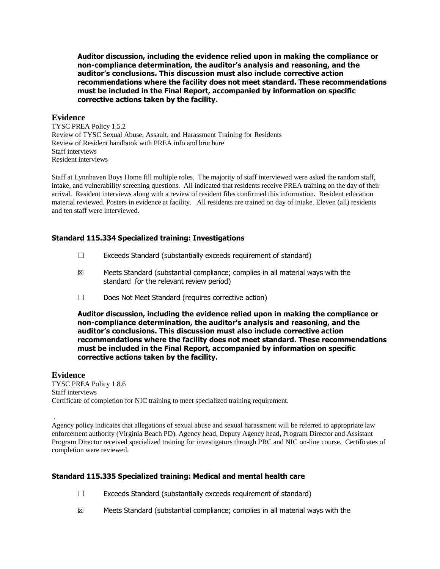### **Evidence**

TYSC PREA Policy 1.5.2 Review of TYSC Sexual Abuse, Assault, and Harassment Training for Residents Review of Resident handbook with PREA info and brochure Staff interviews Resident interviews

Staff at Lynnhaven Boys Home fill multiple roles. The majority of staff interviewed were asked the random staff, intake, and vulnerability screening questions. All indicated that residents receive PREA training on the day of their arrival. Resident interviews along with a review of resident files confirmed this information. Resident education material reviewed. Posters in evidence at facility. All residents are trained on day of intake. Eleven (all) residents and ten staff were interviewed.

### **Standard 115.334 Specialized training: Investigations**

- $\Box$  Exceeds Standard (substantially exceeds requirement of standard)
- ☒ Meets Standard (substantial compliance; complies in all material ways with the standard for the relevant review period)
- ☐ Does Not Meet Standard (requires corrective action)

**Auditor discussion, including the evidence relied upon in making the compliance or non-compliance determination, the auditor's analysis and reasoning, and the auditor's conclusions. This discussion must also include corrective action recommendations where the facility does not meet standard. These recommendations must be included in the Final Report, accompanied by information on specific corrective actions taken by the facility.**

#### **Evidence**

.

TYSC PREA Policy 1.8.6 Staff interviews Certificate of completion for NIC training to meet specialized training requirement.

Agency policy indicates that allegations of sexual abuse and sexual harassment will be referred to appropriate law enforcement authority (Virginia Beach PD). Agency head, Deputy Agency head, Program Director and Assistant Program Director received specialized training for investigators through PRC and NIC on-line course. Certificates of completion were reviewed.

## **Standard 115.335 Specialized training: Medical and mental health care**

- ☐ Exceeds Standard (substantially exceeds requirement of standard)
- $\boxtimes$  Meets Standard (substantial compliance; complies in all material ways with the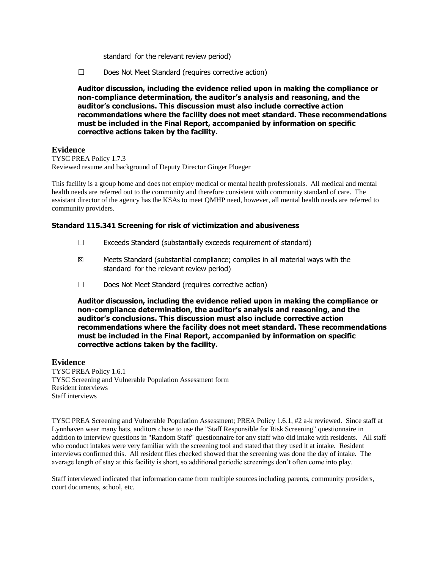standard for the relevant review period)

☐ Does Not Meet Standard (requires corrective action)

**Auditor discussion, including the evidence relied upon in making the compliance or non-compliance determination, the auditor's analysis and reasoning, and the auditor's conclusions. This discussion must also include corrective action recommendations where the facility does not meet standard. These recommendations must be included in the Final Report, accompanied by information on specific corrective actions taken by the facility.**

## **Evidence**

TYSC PREA Policy 1.7.3 Reviewed resume and background of Deputy Director Ginger Ploeger

This facility is a group home and does not employ medical or mental health professionals. All medical and mental health needs are referred out to the community and therefore consistent with community standard of care. The assistant director of the agency has the KSAs to meet QMHP need, however, all mental health needs are referred to community providers.

## **Standard 115.341 Screening for risk of victimization and abusiveness**

- ☐ Exceeds Standard (substantially exceeds requirement of standard)
- $\boxtimes$  Meets Standard (substantial compliance; complies in all material ways with the standard for the relevant review period)
- ☐ Does Not Meet Standard (requires corrective action)

**Auditor discussion, including the evidence relied upon in making the compliance or non-compliance determination, the auditor's analysis and reasoning, and the auditor's conclusions. This discussion must also include corrective action recommendations where the facility does not meet standard. These recommendations must be included in the Final Report, accompanied by information on specific corrective actions taken by the facility.**

## **Evidence**

TYSC PREA Policy 1.6.1 TYSC Screening and Vulnerable Population Assessment form Resident interviews Staff interviews

TYSC PREA Screening and Vulnerable Population Assessment; PREA Policy 1.6.1, #2 a-k reviewed. Since staff at Lynnhaven wear many hats, auditors chose to use the "Staff Responsible for Risk Screening" questionnaire in addition to interview questions in "Random Staff" questionnaire for any staff who did intake with residents. All staff who conduct intakes were very familiar with the screening tool and stated that they used it at intake. Resident interviews confirmed this. All resident files checked showed that the screening was done the day of intake. The average length of stay at this facility is short, so additional periodic screenings don't often come into play.

Staff interviewed indicated that information came from multiple sources including parents, community providers, court documents, school, etc.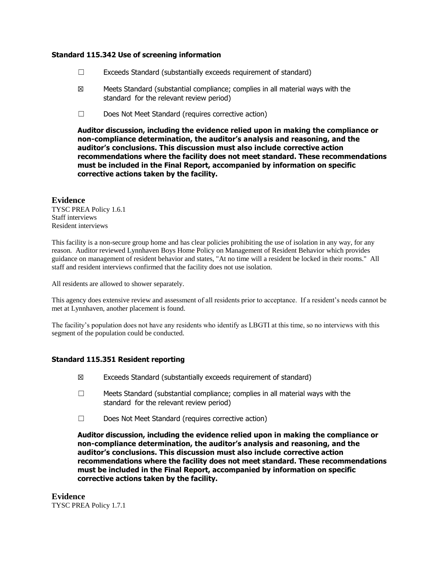### **Standard 115.342 Use of screening information**

- $\Box$  Exceeds Standard (substantially exceeds requirement of standard)
- $\boxtimes$  Meets Standard (substantial compliance; complies in all material ways with the standard for the relevant review period)
- ☐ Does Not Meet Standard (requires corrective action)

**Auditor discussion, including the evidence relied upon in making the compliance or non-compliance determination, the auditor's analysis and reasoning, and the auditor's conclusions. This discussion must also include corrective action recommendations where the facility does not meet standard. These recommendations must be included in the Final Report, accompanied by information on specific corrective actions taken by the facility.**

## **Evidence**

TYSC PREA Policy 1.6.1 Staff interviews Resident interviews

This facility is a non-secure group home and has clear policies prohibiting the use of isolation in any way, for any reason. Auditor reviewed Lynnhaven Boys Home Policy on Management of Resident Behavior which provides guidance on management of resident behavior and states, "At no time will a resident be locked in their rooms." All staff and resident interviews confirmed that the facility does not use isolation.

All residents are allowed to shower separately.

This agency does extensive review and assessment of all residents prior to acceptance. If a resident's needs cannot be met at Lynnhaven, another placement is found.

The facility's population does not have any residents who identify as LBGTI at this time, so no interviews with this segment of the population could be conducted.

## **Standard 115.351 Resident reporting**

- ☒ Exceeds Standard (substantially exceeds requirement of standard)
- ☐ Meets Standard (substantial compliance; complies in all material ways with the standard for the relevant review period)
- ☐ Does Not Meet Standard (requires corrective action)

**Auditor discussion, including the evidence relied upon in making the compliance or non-compliance determination, the auditor's analysis and reasoning, and the auditor's conclusions. This discussion must also include corrective action recommendations where the facility does not meet standard. These recommendations must be included in the Final Report, accompanied by information on specific corrective actions taken by the facility.**

**Evidence** TYSC PREA Policy 1.7.1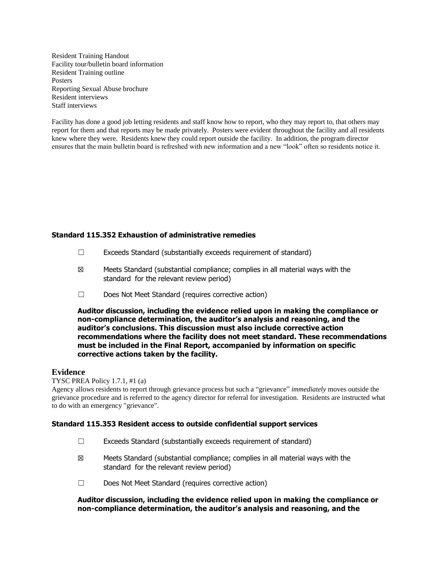Resident Training Handout Facility tour/bulletin board information Resident Training outline Posters Reporting Sexual Abuse brochure Resident interviews Staff interviews

Facility has done a good job letting residents and staff know how to report, who they may report to, that others may report for them and that reports may be made privately. Posters were evident throughout the facility and all residents knew where they were. Residents knew they could report outside the facility. In addition, the program director ensures that the main bulletin board is refreshed with new information and a new "look" often so residents notice it.

## **Standard 115.352 Exhaustion of administrative remedies**

- ☐ Exceeds Standard (substantially exceeds requirement of standard)
- $\boxtimes$  Meets Standard (substantial compliance; complies in all material ways with the standard for the relevant review period)
- ☐ Does Not Meet Standard (requires corrective action)

**Auditor discussion, including the evidence relied upon in making the compliance or non-compliance determination, the auditor's analysis and reasoning, and the auditor's conclusions. This discussion must also include corrective action recommendations where the facility does not meet standard. These recommendations must be included in the Final Report, accompanied by information on specific corrective actions taken by the facility.**

## **Evidence**

## TYSC PREA Policy 1.7.1, #1 (a)

Agency allows residents to report through grievance process but such a "grievance" *immediately* moves outside the grievance procedure and is referred to the agency director for referral for investigation. Residents are instructed what to do with an emergency "grievance".

## **Standard 115.353 Resident access to outside confidential support services**

- $\Box$  Exceeds Standard (substantially exceeds requirement of standard)
- ☒ Meets Standard (substantial compliance; complies in all material ways with the standard for the relevant review period)
- ☐ Does Not Meet Standard (requires corrective action)

## **Auditor discussion, including the evidence relied upon in making the compliance or non-compliance determination, the auditor's analysis and reasoning, and the**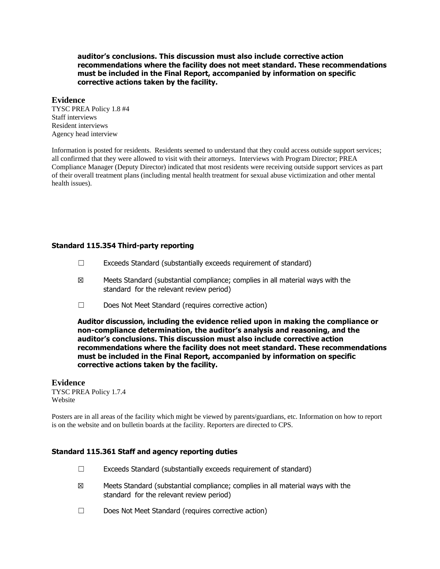**auditor's conclusions. This discussion must also include corrective action recommendations where the facility does not meet standard. These recommendations must be included in the Final Report, accompanied by information on specific corrective actions taken by the facility.**

### **Evidence**

TYSC PREA Policy 1.8 #4 Staff interviews Resident interviews Agency head interview

Information is posted for residents. Residents seemed to understand that they could access outside support services; all confirmed that they were allowed to visit with their attorneys. Interviews with Program Director; PREA Compliance Manager (Deputy Director) indicated that most residents were receiving outside support services as part of their overall treatment plans (including mental health treatment for sexual abuse victimization and other mental health issues).

## **Standard 115.354 Third-party reporting**

- ☐ Exceeds Standard (substantially exceeds requirement of standard)
- ☒ Meets Standard (substantial compliance; complies in all material ways with the standard for the relevant review period)
- ☐ Does Not Meet Standard (requires corrective action)

**Auditor discussion, including the evidence relied upon in making the compliance or non-compliance determination, the auditor's analysis and reasoning, and the auditor's conclusions. This discussion must also include corrective action recommendations where the facility does not meet standard. These recommendations must be included in the Final Report, accompanied by information on specific corrective actions taken by the facility.**

#### **Evidence** TYSC PREA Policy 1.7.4 Website

Posters are in all areas of the facility which might be viewed by parents/guardians, etc. Information on how to report is on the website and on bulletin boards at the facility. Reporters are directed to CPS.

#### **Standard 115.361 Staff and agency reporting duties**

- ☐ Exceeds Standard (substantially exceeds requirement of standard)
- ☒ Meets Standard (substantial compliance; complies in all material ways with the standard for the relevant review period)
- ☐ Does Not Meet Standard (requires corrective action)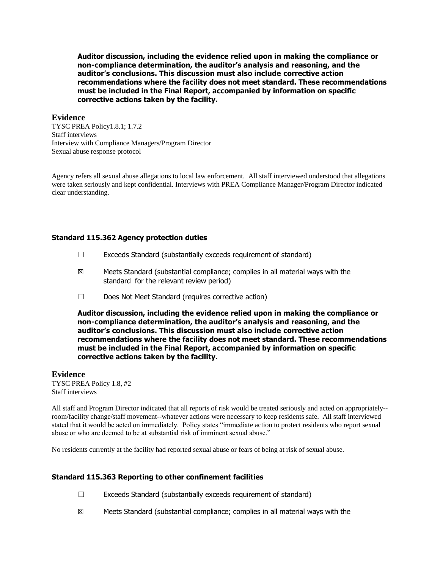### **Evidence**

TYSC PREA Policy1.8.1; 1.7.2 Staff interviews Interview with Compliance Managers/Program Director Sexual abuse response protocol

Agency refers all sexual abuse allegations to local law enforcement. All staff interviewed understood that allegations were taken seriously and kept confidential. Interviews with PREA Compliance Manager/Program Director indicated clear understanding.

### **Standard 115.362 Agency protection duties**

- $\Box$  Exceeds Standard (substantially exceeds requirement of standard)
- ☒ Meets Standard (substantial compliance; complies in all material ways with the standard for the relevant review period)
- ☐ Does Not Meet Standard (requires corrective action)

**Auditor discussion, including the evidence relied upon in making the compliance or non-compliance determination, the auditor's analysis and reasoning, and the auditor's conclusions. This discussion must also include corrective action recommendations where the facility does not meet standard. These recommendations must be included in the Final Report, accompanied by information on specific corrective actions taken by the facility.**

## **Evidence**

TYSC PREA Policy 1.8, #2 Staff interviews

All staff and Program Director indicated that all reports of risk would be treated seriously and acted on appropriately- room/facility change/staff movement--whatever actions were necessary to keep residents safe. All staff interviewed stated that it would be acted on immediately. Policy states "immediate action to protect residents who report sexual abuse or who are deemed to be at substantial risk of imminent sexual abuse."

No residents currently at the facility had reported sexual abuse or fears of being at risk of sexual abuse.

## **Standard 115.363 Reporting to other confinement facilities**

- $\Box$  Exceeds Standard (substantially exceeds requirement of standard)
- $\boxtimes$  Meets Standard (substantial compliance; complies in all material ways with the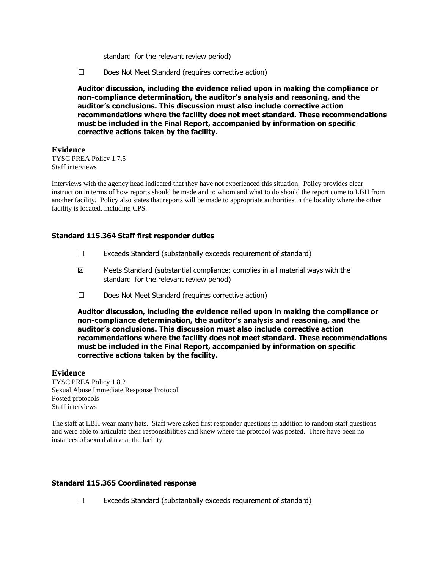standard for the relevant review period)

☐ Does Not Meet Standard (requires corrective action)

**Auditor discussion, including the evidence relied upon in making the compliance or non-compliance determination, the auditor's analysis and reasoning, and the auditor's conclusions. This discussion must also include corrective action recommendations where the facility does not meet standard. These recommendations must be included in the Final Report, accompanied by information on specific corrective actions taken by the facility.**

## **Evidence**

TYSC PREA Policy 1.7.5 Staff interviews

Interviews with the agency head indicated that they have not experienced this situation. Policy provides clear instruction in terms of how reports should be made and to whom and what to do should the report come to LBH from another facility. Policy also states that reports will be made to appropriate authorities in the locality where the other facility is located, including CPS.

## **Standard 115.364 Staff first responder duties**

- ☐ Exceeds Standard (substantially exceeds requirement of standard)
- $\boxtimes$  Meets Standard (substantial compliance; complies in all material ways with the standard for the relevant review period)
- ☐ Does Not Meet Standard (requires corrective action)

**Auditor discussion, including the evidence relied upon in making the compliance or non-compliance determination, the auditor's analysis and reasoning, and the auditor's conclusions. This discussion must also include corrective action recommendations where the facility does not meet standard. These recommendations must be included in the Final Report, accompanied by information on specific corrective actions taken by the facility.**

## **Evidence**

TYSC PREA Policy 1.8.2 Sexual Abuse Immediate Response Protocol Posted protocols Staff interviews

The staff at LBH wear many hats. Staff were asked first responder questions in addition to random staff questions and were able to articulate their responsibilities and knew where the protocol was posted. There have been no instances of sexual abuse at the facility.

## **Standard 115.365 Coordinated response**

☐ Exceeds Standard (substantially exceeds requirement of standard)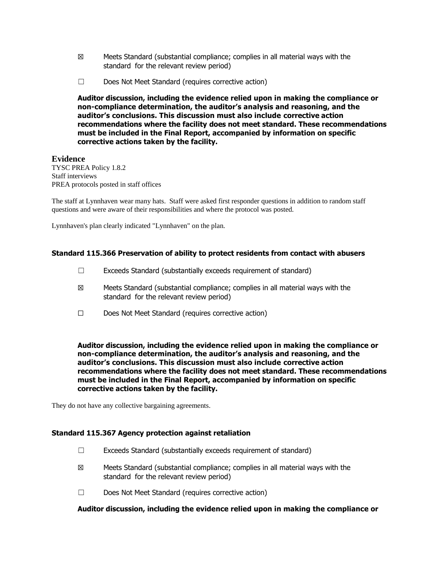- $\boxtimes$  Meets Standard (substantial compliance; complies in all material ways with the standard for the relevant review period)
- ☐ Does Not Meet Standard (requires corrective action)

## **Evidence**

TYSC PREA Policy 1.8.2 Staff interviews PREA protocols posted in staff offices

The staff at Lynnhaven wear many hats. Staff were asked first responder questions in addition to random staff questions and were aware of their responsibilities and where the protocol was posted.

Lynnhaven's plan clearly indicated "Lynnhaven" on the plan.

### **Standard 115.366 Preservation of ability to protect residents from contact with abusers**

- ☐ Exceeds Standard (substantially exceeds requirement of standard)
- ☒ Meets Standard (substantial compliance; complies in all material ways with the standard for the relevant review period)
- ☐ Does Not Meet Standard (requires corrective action)

**Auditor discussion, including the evidence relied upon in making the compliance or non-compliance determination, the auditor's analysis and reasoning, and the auditor's conclusions. This discussion must also include corrective action recommendations where the facility does not meet standard. These recommendations must be included in the Final Report, accompanied by information on specific corrective actions taken by the facility.**

They do not have any collective bargaining agreements.

#### **Standard 115.367 Agency protection against retaliation**

- ☐ Exceeds Standard (substantially exceeds requirement of standard)
- $\boxtimes$  Meets Standard (substantial compliance; complies in all material ways with the standard for the relevant review period)
- ☐ Does Not Meet Standard (requires corrective action)

#### **Auditor discussion, including the evidence relied upon in making the compliance or**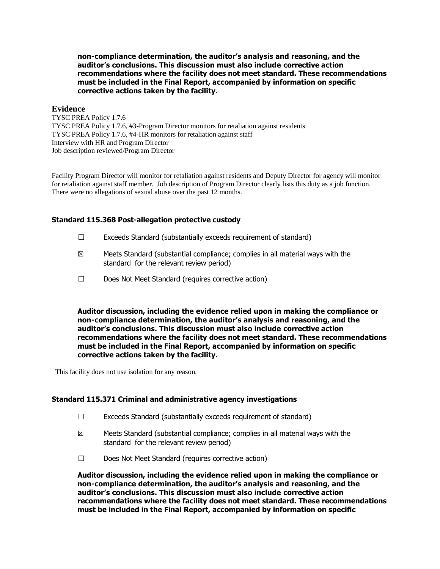**non-compliance determination, the auditor's analysis and reasoning, and the auditor's conclusions. This discussion must also include corrective action recommendations where the facility does not meet standard. These recommendations must be included in the Final Report, accompanied by information on specific corrective actions taken by the facility.**

### **Evidence**

TYSC PREA Policy 1.7.6 TYSC PREA Policy 1.7.6, #3-Program Director monitors for retaliation against residents TYSC PREA Policy 1.7.6, #4-HR monitors for retaliation against staff Interview with HR and Program Director Job description reviewed/Program Director

Facility Program Director will monitor for retaliation against residents and Deputy Director for agency will monitor for retaliation against staff member. Job description of Program Director clearly lists this duty as a job function. There were no allegations of sexual abuse over the past 12 months.

## **Standard 115.368 Post-allegation protective custody**

- $\Box$  Exceeds Standard (substantially exceeds requirement of standard)
- $\boxtimes$  Meets Standard (substantial compliance; complies in all material ways with the standard for the relevant review period)
- ☐ Does Not Meet Standard (requires corrective action)

**Auditor discussion, including the evidence relied upon in making the compliance or non-compliance determination, the auditor's analysis and reasoning, and the auditor's conclusions. This discussion must also include corrective action recommendations where the facility does not meet standard. These recommendations must be included in the Final Report, accompanied by information on specific corrective actions taken by the facility.**

This facility does not use isolation for any reason.

### **Standard 115.371 Criminal and administrative agency investigations**

- $\Box$  Exceeds Standard (substantially exceeds requirement of standard)
- $\boxtimes$  Meets Standard (substantial compliance; complies in all material ways with the standard for the relevant review period)
- ☐ Does Not Meet Standard (requires corrective action)

**Auditor discussion, including the evidence relied upon in making the compliance or non-compliance determination, the auditor's analysis and reasoning, and the auditor's conclusions. This discussion must also include corrective action recommendations where the facility does not meet standard. These recommendations must be included in the Final Report, accompanied by information on specific**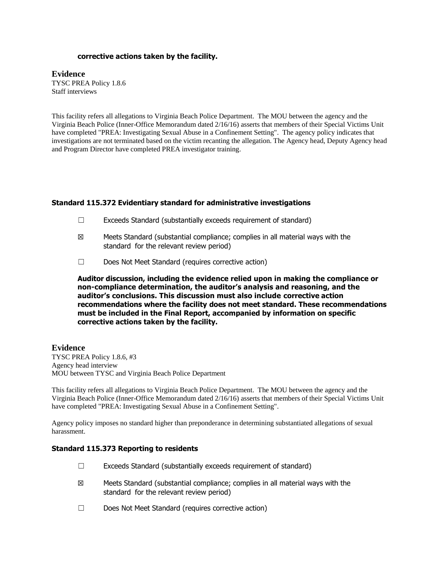### **corrective actions taken by the facility.**

### **Evidence**

TYSC PREA Policy 1.8.6 Staff interviews

This facility refers all allegations to Virginia Beach Police Department. The MOU between the agency and the Virginia Beach Police (Inner-Office Memorandum dated 2/16/16) asserts that members of their Special Victims Unit have completed "PREA: Investigating Sexual Abuse in a Confinement Setting". The agency policy indicates that investigations are not terminated based on the victim recanting the allegation. The Agency head, Deputy Agency head and Program Director have completed PREA investigator training.

### **Standard 115.372 Evidentiary standard for administrative investigations**

- $\Box$  Exceeds Standard (substantially exceeds requirement of standard)
- ☒ Meets Standard (substantial compliance; complies in all material ways with the standard for the relevant review period)
- ☐ Does Not Meet Standard (requires corrective action)

**Auditor discussion, including the evidence relied upon in making the compliance or non-compliance determination, the auditor's analysis and reasoning, and the auditor's conclusions. This discussion must also include corrective action recommendations where the facility does not meet standard. These recommendations must be included in the Final Report, accompanied by information on specific corrective actions taken by the facility.**

## **Evidence**

TYSC PREA Policy 1.8.6, #3 Agency head interview MOU between TYSC and Virginia Beach Police Department

This facility refers all allegations to Virginia Beach Police Department. The MOU between the agency and the Virginia Beach Police (Inner-Office Memorandum dated 2/16/16) asserts that members of their Special Victims Unit have completed "PREA: Investigating Sexual Abuse in a Confinement Setting".

Agency policy imposes no standard higher than preponderance in determining substantiated allegations of sexual harassment.

#### **Standard 115.373 Reporting to residents**

- $\Box$  Exceeds Standard (substantially exceeds requirement of standard)
- $\boxtimes$  Meets Standard (substantial compliance; complies in all material ways with the standard for the relevant review period)
- ☐ Does Not Meet Standard (requires corrective action)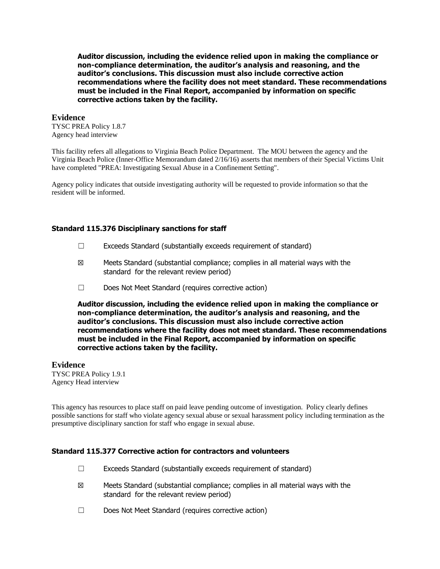### **Evidence**

TYSC PREA Policy 1.8.7 Agency head interview

This facility refers all allegations to Virginia Beach Police Department. The MOU between the agency and the Virginia Beach Police (Inner-Office Memorandum dated 2/16/16) asserts that members of their Special Victims Unit have completed "PREA: Investigating Sexual Abuse in a Confinement Setting".

Agency policy indicates that outside investigating authority will be requested to provide information so that the resident will be informed.

## **Standard 115.376 Disciplinary sanctions for staff**

- ☐ Exceeds Standard (substantially exceeds requirement of standard)
- $\boxtimes$  Meets Standard (substantial compliance; complies in all material ways with the standard for the relevant review period)
- ☐ Does Not Meet Standard (requires corrective action)

**Auditor discussion, including the evidence relied upon in making the compliance or non-compliance determination, the auditor's analysis and reasoning, and the auditor's conclusions. This discussion must also include corrective action recommendations where the facility does not meet standard. These recommendations must be included in the Final Report, accompanied by information on specific corrective actions taken by the facility.**

## **Evidence**

TYSC PREA Policy 1.9.1 Agency Head interview

This agency has resources to place staff on paid leave pending outcome of investigation. Policy clearly defines possible sanctions for staff who violate agency sexual abuse or sexual harassment policy including termination as the presumptive disciplinary sanction for staff who engage in sexual abuse.

### **Standard 115.377 Corrective action for contractors and volunteers**

- $\Box$  Exceeds Standard (substantially exceeds requirement of standard)
- ☒ Meets Standard (substantial compliance; complies in all material ways with the standard for the relevant review period)
- ☐ Does Not Meet Standard (requires corrective action)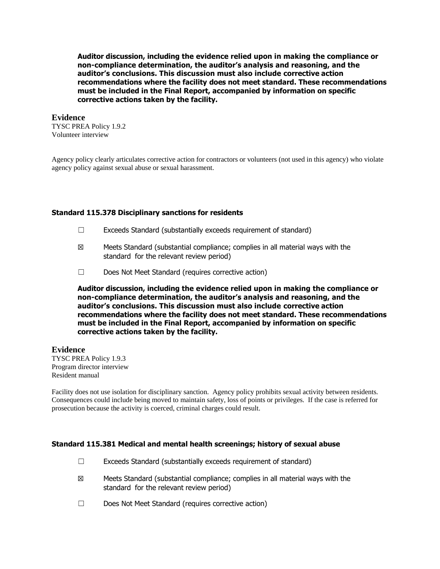#### **Evidence**

TYSC PREA Policy 1.9.2 Volunteer interview

Agency policy clearly articulates corrective action for contractors or volunteers (not used in this agency) who violate agency policy against sexual abuse or sexual harassment.

### **Standard 115.378 Disciplinary sanctions for residents**

- ☐ Exceeds Standard (substantially exceeds requirement of standard)
- $\boxtimes$  Meets Standard (substantial compliance; complies in all material ways with the standard for the relevant review period)
- ☐ Does Not Meet Standard (requires corrective action)

**Auditor discussion, including the evidence relied upon in making the compliance or non-compliance determination, the auditor's analysis and reasoning, and the auditor's conclusions. This discussion must also include corrective action recommendations where the facility does not meet standard. These recommendations must be included in the Final Report, accompanied by information on specific corrective actions taken by the facility.**

#### **Evidence**

TYSC PREA Policy 1.9.3 Program director interview Resident manual

Facility does not use isolation for disciplinary sanction. Agency policy prohibits sexual activity between residents. Consequences could include being moved to maintain safety, loss of points or privileges. If the case is referred for prosecution because the activity is coerced, criminal charges could result.

#### **Standard 115.381 Medical and mental health screenings; history of sexual abuse**

- ☐ Exceeds Standard (substantially exceeds requirement of standard)
- ☒ Meets Standard (substantial compliance; complies in all material ways with the standard for the relevant review period)
- ☐ Does Not Meet Standard (requires corrective action)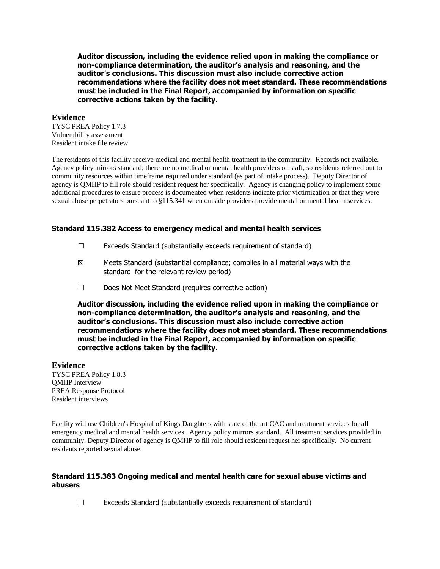### **Evidence**

TYSC PREA Policy 1.7.3 Vulnerability assessment Resident intake file review

The residents of this facility receive medical and mental health treatment in the community. Records not available. Agency policy mirrors standard; there are no medical or mental health providers on staff, so residents referred out to community resources within timeframe required under standard (as part of intake process). Deputy Director of agency is QMHP to fill role should resident request her specifically. Agency is changing policy to implement some additional procedures to ensure process is documented when residents indicate prior victimization or that they were sexual abuse perpetrators pursuant to §115.341 when outside providers provide mental or mental health services.

### **Standard 115.382 Access to emergency medical and mental health services**

- $\Box$  Exceeds Standard (substantially exceeds requirement of standard)
- $\boxtimes$  Meets Standard (substantial compliance; complies in all material ways with the standard for the relevant review period)
- ☐ Does Not Meet Standard (requires corrective action)

**Auditor discussion, including the evidence relied upon in making the compliance or non-compliance determination, the auditor's analysis and reasoning, and the auditor's conclusions. This discussion must also include corrective action recommendations where the facility does not meet standard. These recommendations must be included in the Final Report, accompanied by information on specific corrective actions taken by the facility.**

## **Evidence**

TYSC PREA Policy 1.8.3 QMHP Interview PREA Response Protocol Resident interviews

Facility will use Children's Hospital of Kings Daughters with state of the art CAC and treatment services for all emergency medical and mental health services. Agency policy mirrors standard. All treatment services provided in community. Deputy Director of agency is QMHP to fill role should resident request her specifically. No current residents reported sexual abuse.

### **Standard 115.383 Ongoing medical and mental health care for sexual abuse victims and abusers**

 $\Box$  Exceeds Standard (substantially exceeds requirement of standard)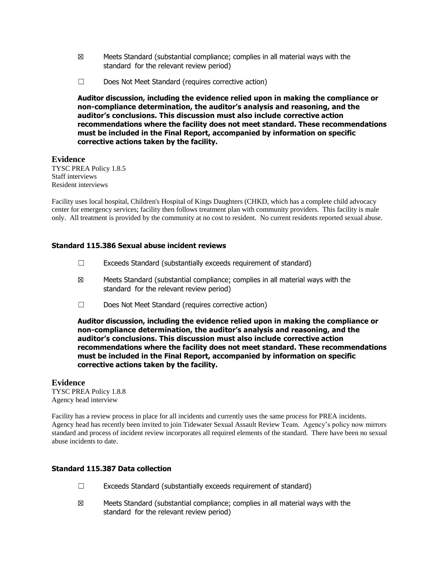- $\boxtimes$  Meets Standard (substantial compliance; complies in all material ways with the standard for the relevant review period)
- ☐ Does Not Meet Standard (requires corrective action)

## **Evidence**

TYSC PREA Policy 1.8.5 Staff interviews Resident interviews

Facility uses local hospital, Children's Hospital of Kings Daughters (CHKD, which has a complete child advocacy center for emergency services; facility then follows treatment plan with community providers. This facility is male only. All treatment is provided by the community at no cost to resident. No current residents reported sexual abuse.

## **Standard 115.386 Sexual abuse incident reviews**

- $\Box$  Exceeds Standard (substantially exceeds requirement of standard)
- ☒ Meets Standard (substantial compliance; complies in all material ways with the standard for the relevant review period)
- ☐ Does Not Meet Standard (requires corrective action)

**Auditor discussion, including the evidence relied upon in making the compliance or non-compliance determination, the auditor's analysis and reasoning, and the auditor's conclusions. This discussion must also include corrective action recommendations where the facility does not meet standard. These recommendations must be included in the Final Report, accompanied by information on specific corrective actions taken by the facility.**

#### **Evidence**

TYSC PREA Policy 1.8.8 Agency head interview

Facility has a review process in place for all incidents and currently uses the same process for PREA incidents. Agency head has recently been invited to join Tidewater Sexual Assault Review Team. Agency's policy now mirrors standard and process of incident review incorporates all required elements of the standard. There have been no sexual abuse incidents to date.

## **Standard 115.387 Data collection**

- ☐ Exceeds Standard (substantially exceeds requirement of standard)
- $\boxtimes$  Meets Standard (substantial compliance; complies in all material ways with the standard for the relevant review period)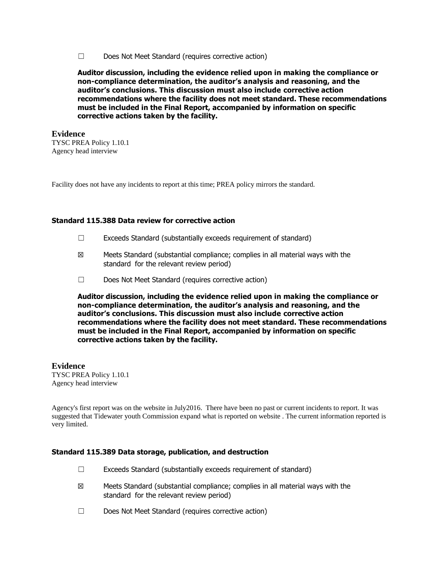☐ Does Not Meet Standard (requires corrective action)

**Auditor discussion, including the evidence relied upon in making the compliance or non-compliance determination, the auditor's analysis and reasoning, and the auditor's conclusions. This discussion must also include corrective action recommendations where the facility does not meet standard. These recommendations must be included in the Final Report, accompanied by information on specific corrective actions taken by the facility.**

#### **Evidence** TYSC PREA Policy 1.10.1 Agency head interview

Facility does not have any incidents to report at this time; PREA policy mirrors the standard.

#### **Standard 115.388 Data review for corrective action**

- ☐ Exceeds Standard (substantially exceeds requirement of standard)
- $\boxtimes$  Meets Standard (substantial compliance; complies in all material ways with the standard for the relevant review period)
- ☐ Does Not Meet Standard (requires corrective action)

**Auditor discussion, including the evidence relied upon in making the compliance or non-compliance determination, the auditor's analysis and reasoning, and the auditor's conclusions. This discussion must also include corrective action recommendations where the facility does not meet standard. These recommendations must be included in the Final Report, accompanied by information on specific corrective actions taken by the facility.**

## **Evidence**

TYSC PREA Policy 1.10.1 Agency head interview

Agency's first report was on the website in July2016. There have been no past or current incidents to report. It was suggested that Tidewater youth Commission expand what is reported on website . The current information reported is very limited.

#### **Standard 115.389 Data storage, publication, and destruction**

- $\Box$  Exceeds Standard (substantially exceeds requirement of standard)
- ☒ Meets Standard (substantial compliance; complies in all material ways with the standard for the relevant review period)
- ☐ Does Not Meet Standard (requires corrective action)